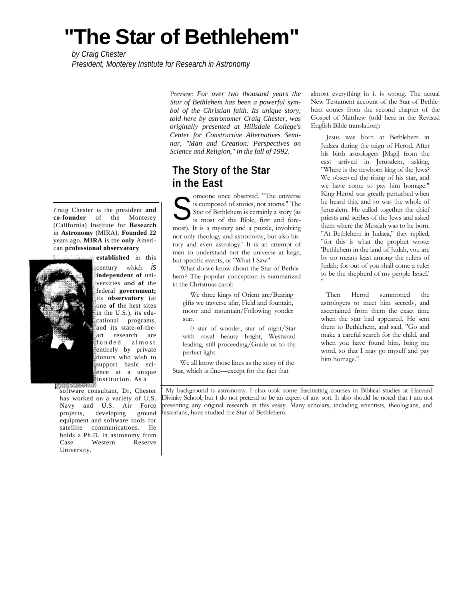# **"The Star of Bethlehem"**

*by Craig Chester President, Monterey Institute for Research in Astronomy* 

*C* raig Chester is the president **co-founder**  of the Monterey (California) Institute for **Research**  in **Astronomy** (MIRA). **Founded 22**  years ago, **MIRA** is the **only** American **professional observatory** 



century which *is*  **independent of** universities **and of** the federal **government;**  its **observatory** (at one **of** the hest sites in the U.S.), its educational programs. and its state-of-theart research are funded almost entirely by private donors who wish to support basic science at a unique institution. As a

software consultant, Dr, Chester has worked on a variety of U.S. Navy and U.S. Air Force projects, developing ground equipment and software tools for satellite communications. Ile holds a Ph.D. in astronomy from Case Western Reserve University.

Preview: *For over two thousand years the Star of Bethlehem has been a powerful symbol of the Christian faith. Its unique story, told here by astronomer Craig Chester, was originally presented at Hillsdale College's Center for Constructive Alternatives Seminar, "Man and Creation: Perspectives on Science and Religion," in the fall of 1992.* 

### **The Story of the Star in the East**

omeone once observed, "The universe is composed of stories, not atoms." The Star of Bethlehem is certainly a story (as is most of the Bible, first and foremost). It is a mystery and a puzzle, involving not only theology and astronomy, but also history and even astrology.' It is an attempt of men to understand not the universe at large, but specific events, or "What I Saw"  $\frac{1}{\sqrt{2}}$  S

> What do we know about the Star of Bethlehem? The popular conception is summarized in the Christmas carol:

We three kings of Orient are/Bearing gifts we traverse afar, Field and fountain, moor and mountain/Following yonder star.

0 star of wonder, star of night/Star with royal beauty bright, Westward leading, still proceeding/Guide us to thy perfect light.

We all know those lines as the story of the Star, which is fine—except for the fact that

almost everything in it is wrong. The actual New Testament account of the Star of Bethlehem comes from the second chapter of the Gospel of Matthew (told here in the Revised English Bible translation):

Jesus was born at Bethlehem in Judaea during the reign of Herod. After his birth astrologers [Magi] from the east arrived in Jerusalem, asking, "Where is the newborn king of the Jews? We observed the rising of his star, and we have come to pay him homage." King Herod was greatly perturbed when he heard this, and so was the whole of Jerusalem. He called together the chief priests and scribes of the Jews and asked them where the Messiah was to he born. "At Bethlehem in Judaea," they replied, "for this is what the prophet wrote: 'Bethlehem in the land of Judah, you are by no means least among the rulers of Judah; for out of you shall come a ruler to be the shepherd of my people Israel.'

Then Herod summoned the astrologers to meet him secretly, and ascertained from them the exact time when the star had appeared. He sent them to Bethlehem, and said, "Go and make a careful search for the child, and when you have found him, bring me word, so that I may go myself and pay him homage."

' My background is astronomy. I also took some fascinating courses in Biblical studies at Harvard Divinity School, but I do not pretend to be an expert of any sort. It also should be noted that I am not presenting any original research in this essay. Many scholars, including scientists, theologians, and historians, have studied the Star of Bethlehem.

"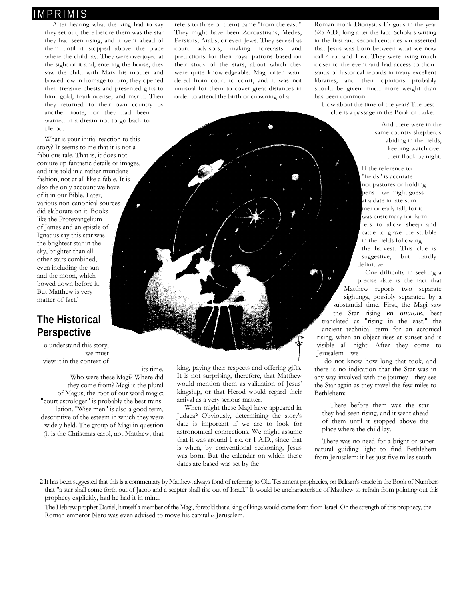#### IMPRIMIS

After hearing what the king had to say they set out; there before them was the star they had seen rising, and it went ahead of them until it stopped above the place where the child lay. They were overjoyed at the sight of it and, entering the house, they saw the child with Mary his mother and bowed low in homage to him; they opened their treasure chests and presented gifts to him: gold, frankincense, and myrrh. Then they returned to their own country by another route, for they had been warned in a dream not to go back to Herod.

What is your initial reaction to this story? It seems to me that it is not a fabulous tale. That is, it does not conjure up fantastic details or images, and it is told in a rather mundane fashion, not at all like a fable. It is also the only account we have of it in our Bible. Later, various non-canonical sources did elaborate on it. Books like the Protevangelium of James and an epistle of Ignatius say this star was the brightest star in the sky, brighter than all other stars combined, even including the sun and the moon, which bowed down before it. But Matthew is very matter-of-fact.'

## **The Historical Perspective**

o understand this story, we must view it in the context of

its time. Who were these Magi? Where did they come from? Magi is the plural of Magus, the root of our word magic; "court astrologer" is probably the best translation. "Wise men" is also a good term, descriptive of the esteem in which they were widely held. The group of Magi in question (it is the Christmas carol, not Matthew, that refers to three of them) came "from the east." They might have been Zoroastrians, Medes, Persians, Arabs, or even Jews. They served as court advisors, making forecasts and predictions for their royal patrons based on their study of the stars, about which they were quite knowledgeable. Magi often wandered from court to court, and it was not unusual for them to cover great distances in order to attend the birth or crowning of a

Roman monk Dionysius Exiguus in the year 525 A.D., long after the fact. Scholars writing in the first and second centuries A.D. asserted that Jesus was born between what we now call 4 B.C. and 1 B.C. They were living much closer to the event and had access to thousands of historical records in many excellent libraries, and their opinions probably should be given much more weight than has been common.

How about the time of the year? The best clue is a passage in the Book of Luke:

> And there were in the same country shepherds abiding in the fields, keeping watch over their flock by night.

If the reference to "fields" is accurate not pastures or holding pens—we might guess at a date in late summer or early fall, for it was customary for farmers to allow sheep and cattle to graze the stubble in the fields following the harvest. This clue is<br>suggestive, but hardly but hardly definitive.

One difficulty in seeking a precise date is the fact that Matthew reports two separate sightings, possibly separated by a substantial time. First, the Magi saw the Star rising *en anatole,* best translated as "rising in the east," the ancient technical term for an acronical rising, when an object rises at sunset and is visible all night. After they come to Jerusalem—we

do not know how long that took, and there is no indication that the Star was in any way involved with the journey—they see the Star again as they travel the few miles to Bethlehem:

There before them was the star they had seen rising, and it went ahead of them until it stopped above the place where the child lay.

There was no need for a bright or supernatural guiding light to find Bethlehem from Jerusalem; it lies just five miles south

2 It has been suggested that this is a commentary by Matthew, always fond of referring to Old Testament prophecies, on Balaam's oracle in the Book of Numbers that "a star shall come forth out of Jacob and a scepter shall rise out of Israel." It would be uncharacteristic of Matthew to refrain from pointing out this prophecy explicitly, had he had it in mind.

The Hebrew prophet Daniel, himself a member of the Magi, foretold that a king of kings would come forth from Israel. On the strength of this prophecy, the Roman emperor Nero was even advised to move his capital to Jerusalem.

king, paying their respects and offering gifts. It is not surprising, therefore, that Matthew would mention them as validation of Jesus' kingship, or that Herod would regard their arrival as a very serious matter.

When might these Magi have appeared in Judaea? Obviously, determining the story's date is important if we are to look for astronomical connections. We might assume that it was around 1 B.C. or 1 A.D., since that is when, by conventional reckoning, Jesus was born. But the calendar on which these dates are based was set by the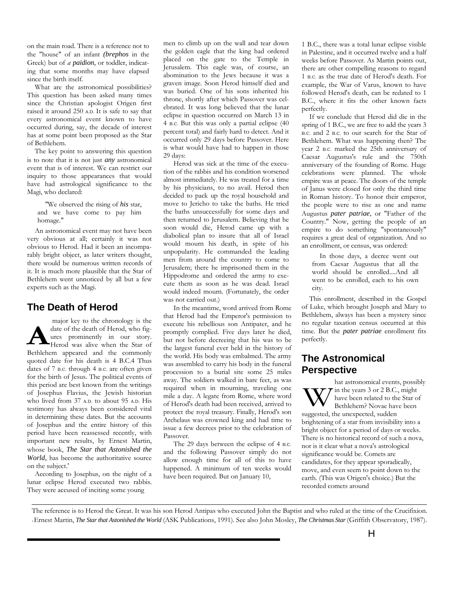on the main road. There is a reference not to the "house" of an infant *(brephos* in the Greek) but of *a paidion,* or toddler, indicating that some months may have elapsed since the birth itself.

What are the astronomical possibilities? This question has been asked many times since the Christian apologist Origen first raised it around 250 A.D. It is safe to say that every astronomical event known to have occurred during, say, the decade of interest has at some point been proposed as the Star of Bethlehem.

The key point to answering this question is to note that it is not just *any* astronomical event that is of interest. We can restrict our inquiry to those appearances that would have had astrological significance to the Magi, who declared:

"We observed the rising of *his* star, and we have come to pay him homage."

An astronomical event may not have been very obvious at all; certainly it was not obvious to Herod. Had it been an incomparably bright object, as later writers thought, there would be numerous written records of it. It is much more plausible that the Star of Bethlehem went unnoticed by all but a few experts such as the Magi.

#### **The Death of Herod**

 major key to the chronology is the date of the death of Herod, who figures prominently in our story. Herod was alive when the Star of major key to the chronology is the<br>date of the death of Herod, who fig-<br>ures prominently in our story.<br>Herod was alive when the Star of<br>Bethlehem appeared and the commonly quoted date for his death is 4 B.C.4 Thus dates of 7 B.C. through 4 B.C. are often given for the birth of Jesus. The political events of this period are best known from the writings of Josephus Flavius, the Jewish historian who lived from 37 A.D. to about 95 A.D. His testimony has always been considered vital in determining these dates. But the accounts of Josephus and the entire history of this period have been reassessed recently, with important new results, by Ernest Martin, whose book, *The Star that Astonished the World,* has become the authoritative source on the subject.'

According to Josephus, on the night of a lunar eclipse Herod executed two rabbis. They were accused of inciting some young

men to climb up on the wall and tear down the golden eagle that the king had ordered placed on the gate to the Temple in Jerusalem. This eagle was, of course, an abomination to the Jews because it was a graven image. Soon Herod himself died and was buried. One of his sons inherited his throne, shortly after which Passover was celebrated. It was long believed that the lunar eclipse in question occurred on March 13 in 4 B.C. But this was only a partial eclipse (40 percent total) and fairly hard to detect. And it occurred only 29 days before Passover. Here is what would have had to happen in those 29 days:

Herod was sick at the time of the execution of the rabbis and his condition worsened almost immediately. He was treated for a time by his physicians, to no avail. Herod then decided to pack up the royal household and move to Jericho to take the baths. He tried the baths unsuccessfully for some days and then returned to Jerusalem. Believing that he soon would die, Herod came up with a diabolical plan to insure that all of Israel would mourn his death, in spite of his unpopularity. He commanded the leading men from around the country to come to Jerusalem; there he imprisoned them in the Hippodrome and ordered the army to execute them as soon as he was dead. Israel would indeed mourn. (Fortunately, the order was not carried out.)

In the meantime, word arrived from Rome that Herod had the Emperor's permission to execute his rebellious son Antipater, and he promptly complied. Five days later he died, but not before decreeing that his was to be the largest funeral ever held in the history of the world. His body was embalmed. The army was assembled to carry his body in the funeral procession to a burial site some 25 miles away. The soldiers walked in bare feet, as was required when in mourning, traveling one mile a day. A legate from Rome, where word of Herod's death had been received, arrived to protect the royal treasury. Finally, Herod's son Archelaus was crowned king and had time to issue a few decrees prior to the celebration of Passover.

The 29 days between the eclipse of 4 B.C. and the following Passover simply do not allow enough time for all of this to have happened. A minimum of ten weeks would have been required. But on January 10,

1 B.C., there was a total lunar eclipse visible in Palestine, and it occurred twelve and a half weeks before Passover. As Martin points out, there are other compelling reasons to regard 1 B.C. as the true date of Herod's death. For example, the War of Varus, known to have followed Herod's death, can be redated to 1 B.C., where it fits the other known facts perfectly.

If we conclude that Herod did die in the spring of 1 B.C., we are free to add the years 3 B.C. and 2 B.C. to our search for the Star of Bethlehem. What was happening then? The year 2 B.C. marked the 25th anniversary of Caesar Augustus's rule and the 750th anniversary of the founding of Rome. Huge celebrations were planned. The whole empire was at peace. The doors of the temple of Janus were closed for only the third time in Roman history. To honor their emperor, the people were to rise as one and name Augustus *pater patriae,* or "Father of the Country." Now, getting the people of an empire to do something "spontaneously" requires a great deal of organization. And so an enrollment, or census, was ordered:

In those days, a decree went out from Caesar Augustus that all the world should be enrolled....And all went to be enrolled, each to his own city.

This enrollment, described in the Gospel of Luke, which brought Joseph and Mary to Bethlehem, always has been a mystery since no regular taxation census occurred at this time. But the *pater patriae* enrollment fits perfectly.

#### **The Astronomical Perspective**

hat astronomical events, possibly in the years 3 or 2 B.C., might have been related to the Star of Bethlehem? Novae have been hat astronomical events<br>
In the years 3 or 2 B.C.,<br>
Bethlehem? Novae hav<br>
suggested, the unexpected, sudden brightening of a star from invisibility into a bright object for a period of days or weeks. There is no historical record of such a nova, nor is it clear what a nova's astrological significance would be. Comets are candidates, for they appear sporadically, move, and even seem to point down to the earth. (This was Origen's choice.) But the recorded comets around

The reference is to Herod the Great. It was his son Herod Antipas who executed John the Baptist and who ruled at the time of the Crucifixion. 5 Ernest Martin, *The Star that Astonished the World* (ASK Publications, 1991). See also John Mosley, *The Christmas Star* (Griffith Observatory, 1987).